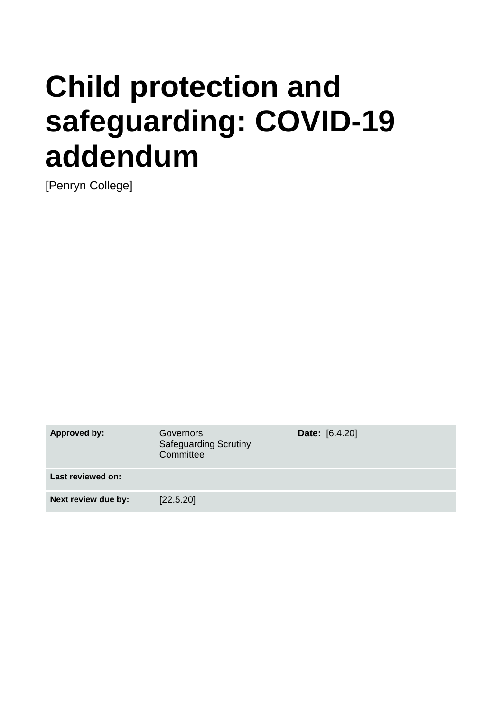# **Child protection and safeguarding: COVID-19 addendum**

[Penryn College]

**Approved by:** Governors Safeguarding Scrutiny **Committee Date:** [6.4.20] **Last reviewed on: Next review due by:** [22.5.20]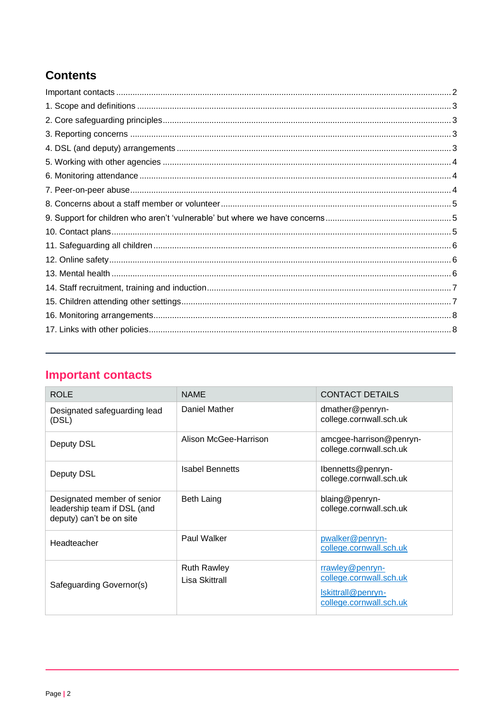# **Contents**

# <span id="page-1-0"></span>**Important contacts**

| <b>ROLE</b>                                                                            | <b>NAME</b>                          | <b>CONTACT DETAILS</b>                                                                      |
|----------------------------------------------------------------------------------------|--------------------------------------|---------------------------------------------------------------------------------------------|
| Designated safeguarding lead<br>(DSL)                                                  | Daniel Mather                        | dmather@penryn-<br>college.cornwall.sch.uk                                                  |
| Deputy DSL                                                                             | Alison McGee-Harrison                | amcgee-harrison@penryn-<br>college.cornwall.sch.uk                                          |
| Deputy DSL                                                                             | <b>Isabel Bennetts</b>               | Ibennetts@penryn-<br>college.cornwall.sch.uk                                                |
| Designated member of senior<br>leadership team if DSL (and<br>deputy) can't be on site | <b>Beth Laing</b>                    | blaing@penryn-<br>college.cornwall.sch.uk                                                   |
| Headteacher                                                                            | Paul Walker                          | pwalker@penryn-<br>college.cornwall.sch.uk                                                  |
| Safeguarding Governor(s)                                                               | <b>Ruth Rawley</b><br>Lisa Skittrall | rrawley@penryn-<br>college.cornwall.sch.uk<br>Iskittrall@penryn-<br>college.cornwall.sch.uk |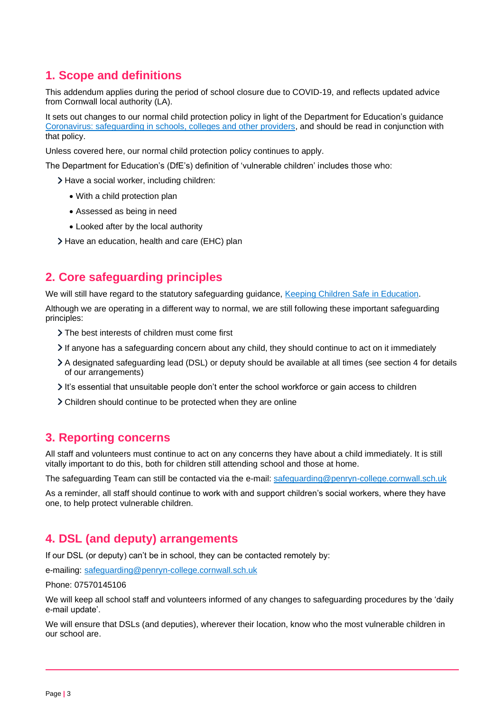# <span id="page-2-0"></span>**1. Scope and definitions**

This addendum applies during the period of school closure due to COVID-19, and reflects updated advice from Cornwall local authority (LA).

It sets out changes to our normal child protection policy in light of the Department for Education's guidance [Coronavirus: safeguarding in schools, colleges and other providers,](https://www.gov.uk/government/publications/covid-19-safeguarding-in-schools-colleges-and-other-providers) and should be read in conjunction with that policy.

Unless covered here, our normal child protection policy continues to apply.

The Department for Education's (DfE's) definition of 'vulnerable children' includes those who:

- > Have a social worker, including children:
	- With a child protection plan
	- Assessed as being in need
	- Looked after by the local authority
- <span id="page-2-1"></span>> Have an education, health and care (EHC) plan

# **2. Core safeguarding principles**

We will still have regard to the statutory safeguarding guidance, [Keeping Children Safe in Education.](https://www.gov.uk/government/publications/keeping-children-safe-in-education--2)

Although we are operating in a different way to normal, we are still following these important safeguarding principles:

- The best interests of children must come first
- If anyone has a safeguarding concern about any child, they should continue to act on it immediately
- A designated safeguarding lead (DSL) or deputy should be available at all times (see section 4 for details of our arrangements)
- It's essential that unsuitable people don't enter the school workforce or gain access to children
- <span id="page-2-2"></span>Children should continue to be protected when they are online

# **3. Reporting concerns**

All staff and volunteers must continue to act on any concerns they have about a child immediately. It is still vitally important to do this, both for children still attending school and those at home.

The safeguarding Team can still be contacted via the e-mail: [safeguarding@penryn-college.cornwall.sch.uk](mailto:safeguarding@penryn-college.cornwall.sch.uk)

As a reminder, all staff should continue to work with and support children's social workers, where they have one, to help protect vulnerable children.

# <span id="page-2-3"></span>**4. DSL (and deputy) arrangements**

If our DSL (or deputy) can't be in school, they can be contacted remotely by:

e-mailing: [safeguarding@penryn-college.cornwall.sch.uk](mailto:safeguarding@penryn-college.cornwall.sch.uk)

Phone: 07570145106

We will keep all school staff and volunteers informed of any changes to safeguarding procedures by the 'daily e-mail update'.

We will ensure that DSLs (and deputies), wherever their location, know who the most vulnerable children in our school are.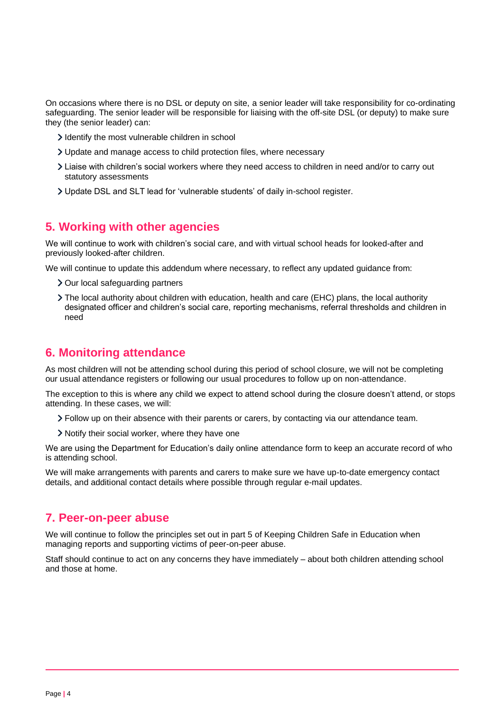On occasions where there is no DSL or deputy on site, a senior leader will take responsibility for co-ordinating safeguarding. The senior leader will be responsible for liaising with the off-site DSL (or deputy) to make sure they (the senior leader) can:

- I dentify the most vulnerable children in school
- Update and manage access to child protection files, where necessary
- Liaise with children's social workers where they need access to children in need and/or to carry out statutory assessments
- <span id="page-3-0"></span>Update DSL and SLT lead for 'vulnerable students' of daily in-school register.

## **5. Working with other agencies**

We will continue to work with children's social care, and with virtual school heads for looked-after and previously looked-after children.

We will continue to update this addendum where necessary, to reflect any updated guidance from:

- > Our local safeguarding partners
- The local authority about children with education, health and care (EHC) plans, the local authority designated officer and children's social care, reporting mechanisms, referral thresholds and children in need

## <span id="page-3-1"></span>**6. Monitoring attendance**

As most children will not be attending school during this period of school closure, we will not be completing our usual attendance registers or following our usual procedures to follow up on non-attendance.

The exception to this is where any child we expect to attend school during the closure doesn't attend, or stops attending. In these cases, we will:

- Follow up on their absence with their parents or carers, by contacting via our attendance team.
- > Notify their social worker, where they have one

We are using the Department for Education's daily online attendance form to keep an accurate record of who is attending school.

We will make arrangements with parents and carers to make sure we have up-to-date emergency contact details, and additional contact details where possible through regular e-mail updates.

## <span id="page-3-2"></span>**7. Peer-on-peer abuse**

We will continue to follow the principles set out in part 5 of Keeping Children Safe in Education when managing reports and supporting victims of peer-on-peer abuse.

<span id="page-3-3"></span>Staff should continue to act on any concerns they have immediately – about both children attending school and those at home.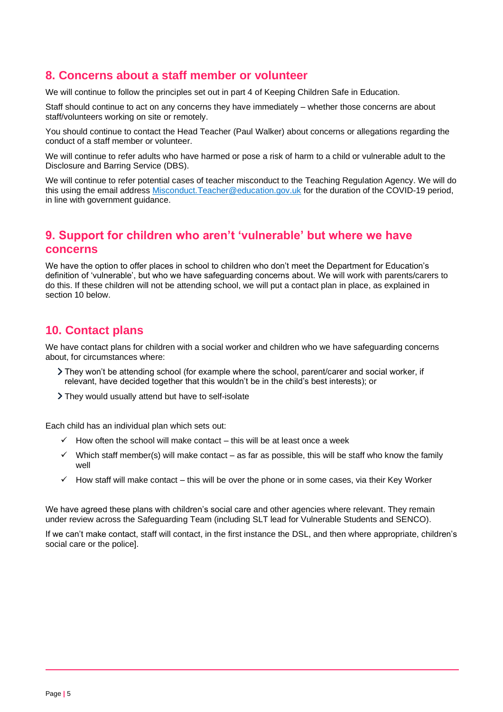# **8. Concerns about a staff member or volunteer**

We will continue to follow the principles set out in part 4 of Keeping Children Safe in Education.

Staff should continue to act on any concerns they have immediately – whether those concerns are about staff/volunteers working on site or remotely.

You should continue to contact the Head Teacher (Paul Walker) about concerns or allegations regarding the conduct of a staff member or volunteer.

We will continue to refer adults who have harmed or pose a risk of harm to a child or vulnerable adult to the Disclosure and Barring Service (DBS).

We will continue to refer potential cases of teacher misconduct to the Teaching Regulation Agency. We will do this using the email address [Misconduct.Teacher@education.gov.uk](mailto:Misconduct.Teacher@education.gov.uk) for the duration of the COVID-19 period, in line with government guidance.

# <span id="page-4-0"></span>**9. Support for children who aren't 'vulnerable' but where we have concerns**

We have the option to offer places in school to children who don't meet the Department for Education's definition of 'vulnerable', but who we have safeguarding concerns about. We will work with parents/carers to do this. If these children will not be attending school, we will put a contact plan in place, as explained in section 10 below.

# <span id="page-4-1"></span>**10. Contact plans**

We have contact plans for children with a social worker and children who we have safeguarding concerns about, for circumstances where:

- They won't be attending school (for example where the school, parent/carer and social worker, if relevant, have decided together that this wouldn't be in the child's best interests); or
- They would usually attend but have to self-isolate

Each child has an individual plan which sets out:

- $\checkmark$  How often the school will make contact this will be at least once a week
- $\checkmark$  Which staff member(s) will make contact as far as possible, this will be staff who know the family well
- $\checkmark$  How staff will make contact this will be over the phone or in some cases, via their Key Worker

We have agreed these plans with children's social care and other agencies where relevant. They remain under review across the Safeguarding Team (including SLT lead for Vulnerable Students and SENCO).

<span id="page-4-2"></span>If we can't make contact, staff will contact, in the first instance the DSL, and then where appropriate, children's social care or the police].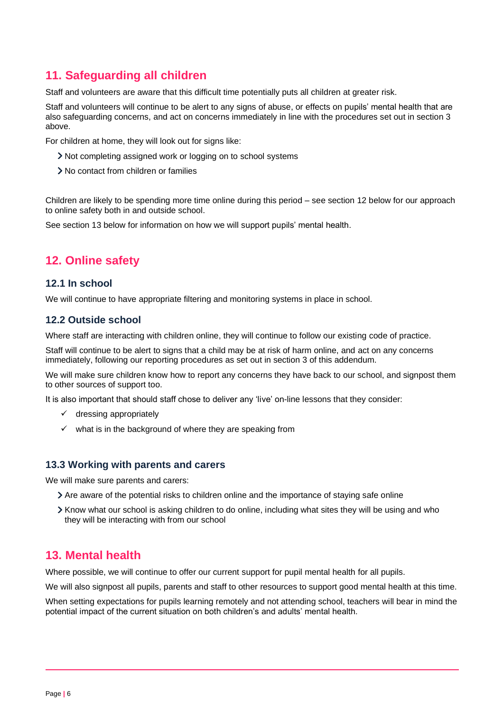# **11. Safeguarding all children**

Staff and volunteers are aware that this difficult time potentially puts all children at greater risk.

Staff and volunteers will continue to be alert to any signs of abuse, or effects on pupils' mental health that are also safeguarding concerns, and act on concerns immediately in line with the procedures set out in section 3 above.

For children at home, they will look out for signs like:

- Not completing assigned work or logging on to school systems
- No contact from children or families

Children are likely to be spending more time online during this period – see section 12 below for our approach to online safety both in and outside school.

<span id="page-5-0"></span>See section 13 below for information on how we will support pupils' mental health.

# **12. Online safety**

#### **12.1 In school**

We will continue to have appropriate filtering and monitoring systems in place in school.

#### **12.2 Outside school**

Where staff are interacting with children online, they will continue to follow our existing code of practice.

Staff will continue to be alert to signs that a child may be at risk of harm online, and act on any concerns immediately, following our reporting procedures as set out in section 3 of this addendum.

We will make sure children know how to report any concerns they have back to our school, and signpost them to other sources of support too.

It is also important that should staff chose to deliver any 'live' on-line lessons that they consider:

- $\checkmark$  dressing appropriately
- $\checkmark$  what is in the background of where they are speaking from

#### **13.3 Working with parents and carers**

We will make sure parents and carers:

- Are aware of the potential risks to children online and the importance of staying safe online
- $\geq$  Know what our school is asking children to do online, including what sites they will be using and who they will be interacting with from our school

## <span id="page-5-1"></span>**13. Mental health**

Where possible, we will continue to offer our current support for pupil mental health for all pupils.

We will also signpost all pupils, parents and staff to other resources to support good mental health at this time.

<span id="page-5-2"></span>When setting expectations for pupils learning remotely and not attending school, teachers will bear in mind the potential impact of the current situation on both children's and adults' mental health.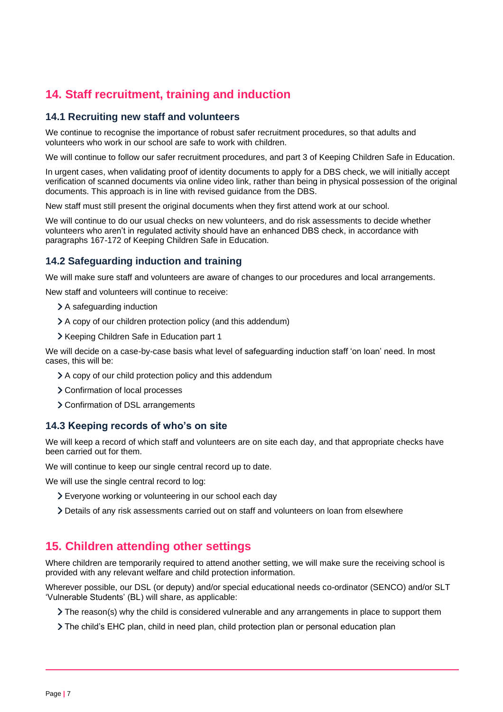# **14. Staff recruitment, training and induction**

#### **14.1 Recruiting new staff and volunteers**

We continue to recognise the importance of robust safer recruitment procedures, so that adults and volunteers who work in our school are safe to work with children.

We will continue to follow our safer recruitment procedures, and part 3 of Keeping Children Safe in Education.

In urgent cases, when validating proof of identity documents to apply for a DBS check, we will initially accept verification of scanned documents via online video link, rather than being in physical possession of the original documents. This approach is in line with revised guidance from the DBS.

New staff must still present the original documents when they first attend work at our school.

We will continue to do our usual checks on new volunteers, and do risk assessments to decide whether volunteers who aren't in regulated activity should have an enhanced DBS check, in accordance with paragraphs 167-172 of Keeping Children Safe in Education.

## **14.2 Safeguarding induction and training**

We will make sure staff and volunteers are aware of changes to our procedures and local arrangements.

New staff and volunteers will continue to receive:

- > A safeguarding induction
- A copy of our children protection policy (and this addendum)
- > Keeping Children Safe in Education part 1

We will decide on a case-by-case basis what level of safeguarding induction staff 'on loan' need. In most cases, this will be:

- A copy of our child protection policy and this addendum
- > Confirmation of local processes
- > Confirmation of DSL arrangements

### **14.3 Keeping records of who's on site**

We will keep a record of which staff and volunteers are on site each day, and that appropriate checks have been carried out for them.

We will continue to keep our single central record up to date.

We will use the single central record to log:

- Everyone working or volunteering in our school each day
- <span id="page-6-0"></span>Details of any risk assessments carried out on staff and volunteers on loan from elsewhere

# **15. Children attending other settings**

Where children are temporarily required to attend another setting, we will make sure the receiving school is provided with any relevant welfare and child protection information.

Wherever possible, our DSL (or deputy) and/or special educational needs co-ordinator (SENCO) and/or SLT 'Vulnerable Students' (BL) will share, as applicable:

- $\geq$  The reason(s) why the child is considered vulnerable and any arrangements in place to support them
- The child's EHC plan, child in need plan, child protection plan or personal education plan